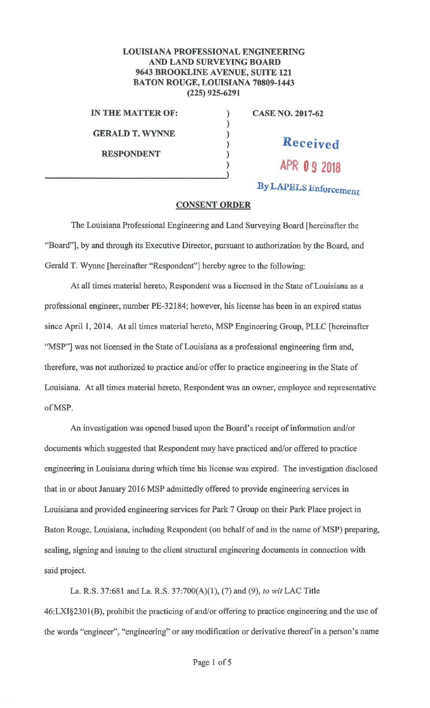## **LOUISIANA PROFESSIONAL ENGINEERING AND LAND SURVEYING BOARD 9643 BROOKLINE A VENUE, SUITE 121 BATON ROUGE, LOUISIANA 70809-1443 (225) 925-6291**

) ) ) ) ) )

IN **THE MATTER OF:** 

**GERALD T. WYNNE** 

**RESPONDENT** 

**CASE NO. 2017-62** 

**Received** 

**APR O 9 2018** 

**By LAPELS Enforcement** 

## **CONSENT ORDER**

The Louisiana Professional Engineering and Land Surveying Board [hereinafter the "Board"], by and through its Executive Director, pursuant to authorization by the Board, and Gerald T. Wynne [hereinafter "Respondent"] hereby agree to the following:

At all times material hereto, Respondent was a licensed in the State of Louisiana as a professional engineer, number PE-32184; however, his license has been in an expired status since April 1, 2014. At all times material hereto, MSP Engineering Group, PLLC [hereinafter "MSP"] was not licensed in the State of Louisiana as a professional engineering firm and, therefore, was not authorized to practice and/or offer to practice engineering in the State of Louisiana. At all times material hereto, Respondent was an owner, employee and representative ofMSP.

An investigation was opened based upon the Board's receipt of information and/or documents which suggested that Respondent may have practiced and/or offered to practice engineering in Louisiana during which time his license was expired. The investigation disclosed that in or about January 2016 MSP admittedly offered to provide engineering services in Louisiana and provided engineering services for Park 7 Group on their Park Place project in Baton Rouge, Louisiana, including Respondent ( on behalf of and in the name of MSP) preparing, sealing, signing and issuing to the client structural engineering documents in connection with said project.

La. R.S. 37:681 and La. R.S. 37:700(A)(l), (7) and (9), *to wit* LAC Title 46:LXI§2301(B), prohibit the practicing of and/or offering to practice engineering and the use of the words "engineer", "engineering" or any modification or derivative thereof in a person's name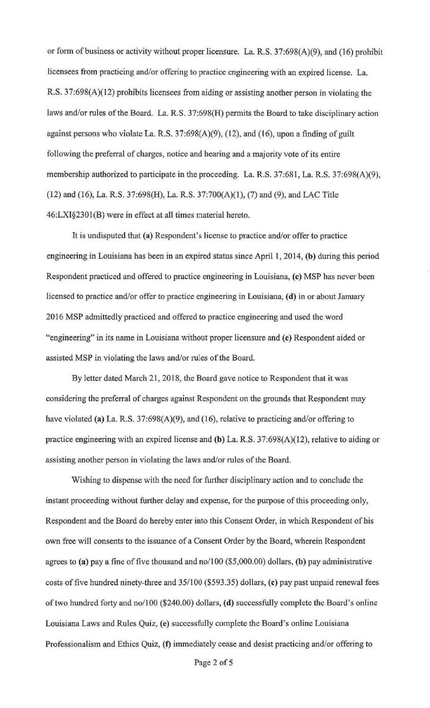or form of business or activity without proper licensure. La. R.S.  $37:698(A)(9)$ , and (16) prohibit licensees from practicing and/or offering to practice engineering with an expired license. La. R.S. 37:698(A)(12) prohibits licensees from aiding or assisting another person in violating the laws and/or rules of the Board. La. R.S. 37:698(H) permits the Board to take disciplinary action against persons who violate La. R.S. 37:698(A)(9), (12), and (16), upon a finding of guilt following the preferral of charges, notice and hearing and a majority vote of its entire membership authorized to participate in the proceeding. La. R.S. 37:681, La. R.S. 37:698(A)(9), (12) and (16), La. R.S. 37:698(H), La. R.S. 37:700(A)(1), (7) and (9), and LAC Title 46:LXI§230l(B) were in effect at all times material hereto.

It is undisputed that (a) Respondent's license to practice and/or offer to practice engineering in Louisiana has been in an expired status since April 1, 2014, **(b)** during this period Respondent practiced and offered to practice engineering in Louisiana, (c) MSP has never been licensed to practice and/or offer to practice engineering in Louisiana, **(d)** in or about Januruy 2016 MSP admittedly practiced and offered to practice engineering and used the word "engineering" in its name in Louisiana without proper licensure and (e) Respondent aided or assisted MSP in violating the laws and/or rules of the Board.

By letter dated March 21, 2018, the Board gave notice to Respondent that it was considering the preferral of charges against Respondent on the grounds that Respondent may have violated (a) La. R.S.  $37:698(A)(9)$ , and (16), relative to practicing and/or offering to practice engineering with an expired license and **(b)** La. R.S. 37:698(A)(I2), relative to aiding or assisting another person in violating the laws and/or rules of the Board.

Wishing to dispense with the need for further disciplinary action and to conclude the instant proceeding without further delay and expense, for the purpose of this proceeding only, Respondent and the Board do hereby enter into this Consent Order, in which Respondent of his own free will consents to the issuance of a Consent Order by the Board, wherein Respondent agrees to **(a)** pay a fine of five thousand and no/100 (\$5,000.00) dollars, **(b)** pay administrative costs of five hundred ninety-three and 35/100 (\$593.35) dollars, **(c)** pay past unpaid renewal fees of two hundred forty and no/100 (\$240.00) dollars, **(d)** successfully complete the Board's online Louisiana Laws and Rules Quiz, (e) successfully complete the Board's online Louisiana Professionalism and Ethics Quiz, **(f)** immediately cease and desist practicing and/or offering to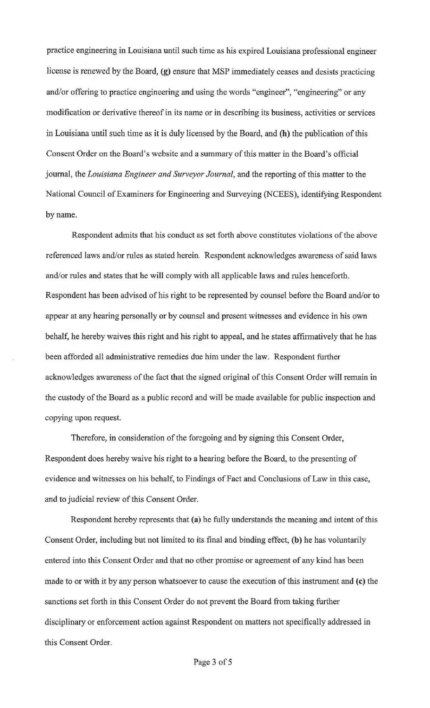practice engineering in Louisiana until such time as his expired Louisiana professional engineer license is renewed by the Board, (g) ensure that MSP immediately ceases and desists practicing and/or offering to practice engineering and using the words "engineer", "engineering" or any modification or derivative thereof in its name or in describing its business, activities or services in Louisiana until such time as it is duly licensed by the Board, and **(h)** the publication of this Consent Order on the Board's website and a summary of this matter in the Board's official journal, the *Louisiana Engineer and Surveyor Journal,* and the reporting of this matter to the National Council of Examiners for Engineering and Surveying (NCEES), identifying Respondent by name.

Respondent admits that his conduct as set forth above constitutes violations of the above referenced Jaws and/or rules as stated herein. Respondent acknowledges awareness of said laws and/or rules and states that he will comply with all applicable laws and rules henceforth. Respondent has been advised of his right to be represented by counsel before the Board and/or to appear at any hearing personally or by counsel and present witnesses and evidence in bis own behalf, he hereby waives this right and his right to appeal, and he states affirmatively that he has been afforded all administrative remedies due him under the law. Respondent finther acknowledges awareness of the fact that the signed original of this Consent Order will remain in the custody of the Board as a public record and will be made available for public inspection and copying upon request.

Therefore, in consideration of the foregoing and by signing this Consent Order, Respondent does hereby waive his right to a hearing before the Board, to the presenting of evidence and witnesses on his behalf, to Findings of Fact and Conclusions of Law in this case, and to judicial review of this Consent Order.

Respondent hereby represents that **(a)** he fully understands the meaning and intent of this Consent Order, including but not limited to its final and binding effect, (b) he has voluntarily entered into this Consent Order and that no other promise or agreement of any kind has been made to or with it by any person whatsoever to cause the execution of this instrument and **(c)** the sanctions set forth in this Consent Order do not prevent the Board from taking further disciplinary or enforcement action against Respondent on matters not specifically addressed in this Consent Order.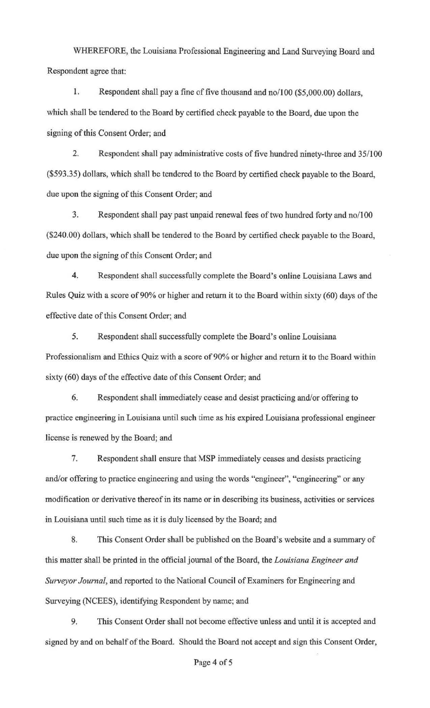WHEREFORE, the Louisiana Professional Engineering and Land Surveying Board and Respondent agree that:

I. Respondent shall pay a fine of five thousand and no/100 (\$5,000.00) dollars, which shall be tendered to the Board by certified check payable to the Board, due upon the signing of this Consent Order; and

2. Respondent shall pay administrative costs of five hundred ninety-three and 35/100 (\$593.35) dollars, which shall be tendered to the Board by certified check payable to the Board, due upon the signing of this Consent Order; and

3. Respondent shall pay past unpaid renewal fees of two hundred forty and no/100 (\$240.00) dollars, which shall be tendered to the Board by certified check payable to the Board, due upon the signing of this Consent Order; and

4. Respondent shall successfully complete the Board's online Louisiana Laws and Rules Quiz with a score of 90% or higher and return it to the Board within sixty (60) days of the effective date of this Consent Order; and

5. Respondent shall successfully complete the Board's online Louisiana Professionalism and Ethics Quiz with a score of 90% or higher and return it to the Board within sixty (60) days of the effective date of this Consent Order; and

6. Respondent shall immediately cease and desist practicing and/or offering to practice engineering in Louisiana until such time as his expired Louisiana professional engineer license is renewed by the Board; and

7. Respondent shall ensure that MSP immediately ceases and desists practicing and/or offering to practice engineering and using the words "engineer", "engineering" or any modification or derivative thereof in its name or in describing its business, activities or services in Louisiana until such time as it is duly licensed by the Board; and

8. This Consent Order shall be published on the Board's website and a summary of this matter shall be printed in the official journal of the Board, the *Louisiana Engineer and Surveyor Journal,* and reported to the National Council of Examiners for Engineering and Surveying (NCEES), identifying Respondent by name; and

9. This Consent Order shall not become effective unless and until it is accepted and signed by and on behalf of the Board. Should the Board not accept and sign this Consent Order,